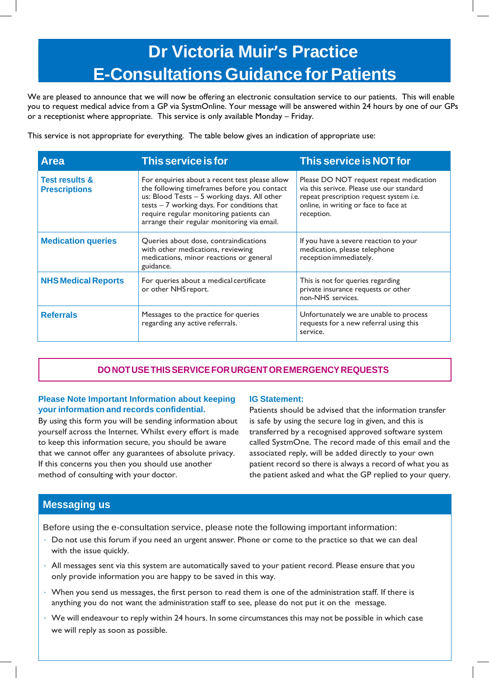# **Dr Victoria Muir's Practice E-Consultations Guidance for Patients**

We are pleased to announce that we will now be offering an electronic consultation service to our patients. This will enable you to request medical advice from a GP via SystmOnline. Your message will be answered within 24 hours by one of our GPs or a receptionist where appropriate. This service is only available Monday – Friday.

This service is not appropriate for everything. The table below gives an indication of appropriate use:

| <b>Area</b>                                       | This service is for                                                                                                                                                                                                                                                                     | <b>This service is NOT for</b>                                                                                                                                                         |  |
|---------------------------------------------------|-----------------------------------------------------------------------------------------------------------------------------------------------------------------------------------------------------------------------------------------------------------------------------------------|----------------------------------------------------------------------------------------------------------------------------------------------------------------------------------------|--|
| <b>Test results &amp;</b><br><b>Prescriptions</b> | For enquiries about a recent test please allow<br>the following timeframes before you contact<br>us: Blood Tests - 5 working days. All other<br>$tests - 7$ working days. For conditions that<br>require regular monitoring patients can<br>arrange their regular monitoring via email. | Please DO NOT request repeat medication<br>via this serivce. Please use our standard<br>repeat prescription request system i.e.<br>online, in writing or face to face at<br>reception. |  |
| <b>Medication queries</b>                         | Queries about dose, contraindications<br>with other medications, reviewing<br>medications, minor reactions or general<br>guidance.                                                                                                                                                      | If you have a severe reaction to your<br>medication, please telephone<br>reception immediately.                                                                                        |  |
| <b>NHS Medical Reports</b>                        | For queries about a medical certificate<br>or other NHS report.                                                                                                                                                                                                                         | This is not for queries regarding<br>private insurance requests or other<br>non-NHS services.                                                                                          |  |
| <b>Referrals</b>                                  | Messages to the practice for queries<br>regarding any active referrals.                                                                                                                                                                                                                 | Unfortunately we are unable to process<br>requests for a new referral using this<br>service.                                                                                           |  |

## **DONOTUSETHISSERVICEFORURGENTOREMERGENCYREQUESTS**

#### **Please Note Important Information about keeping your information and records confidential.**

By using this form you will be sending information about yourself across the Internet. Whilst every effort is made to keep this information secure, you should be aware that we cannot offer any guarantees of absolute privacy. If this concerns you then you should use another method of consulting with your doctor.

### **IG Statement:**

Patients should be advised that the information transfer is safe by using the secure log in given, and this is transferred by a recognised approved software system called SystmOne. The record made of this email and the associated reply, will be added directly to your own patient record so there is always a record of what you as the patient asked and what the GP replied to your query.

## **Messaging us**

Before using the e-consultation service, please note the following important information:

- Do not use this forum if you need an urgent answer. Phone or come to the practice so that we can deal with the issue quickly.
- All messages sent via this system are automatically saved to your patient record. Please ensure that you only provide information you are happy to be saved in this way.
- When you send us messages, the first person to read them is one of the administration staff. If there is anything you do not want the administration staff to see, please do not put it on the message.
- We will endeavour to reply within 24 hours. In some circumstances this may not be possible in which case we will reply as soon as possible.